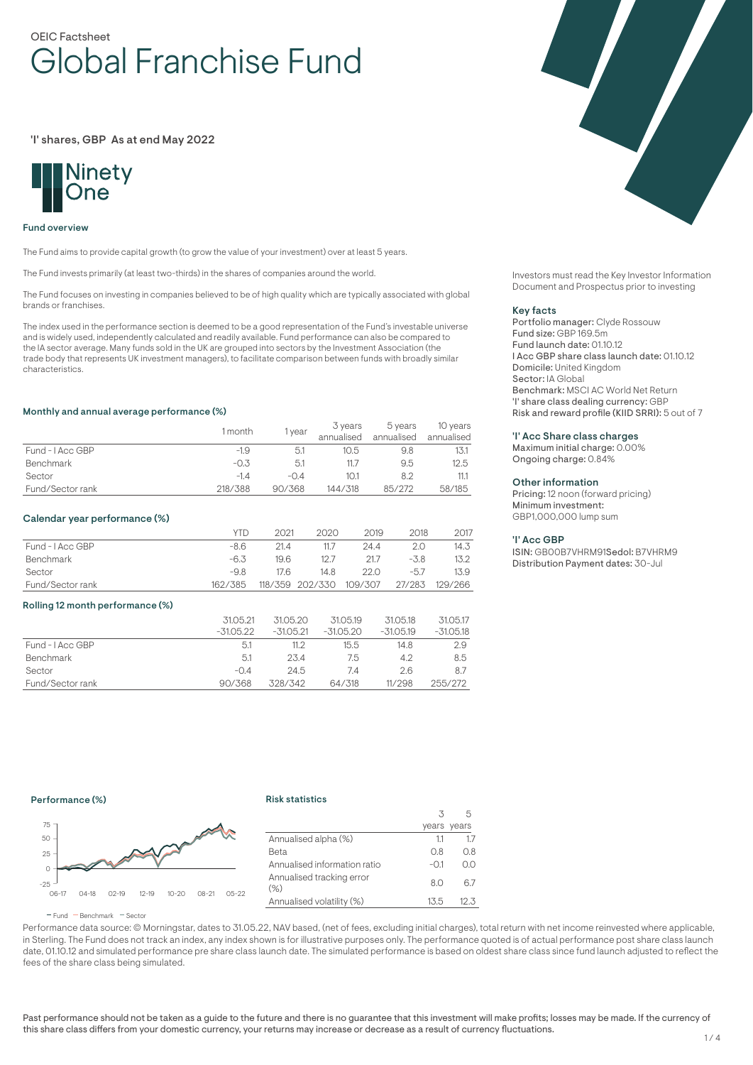# OEIC Factsheet Global Franchise Fund

'I' shares, GBP As at end May 2022



#### Fund overview

The Fund aims to provide capital growth (to grow the value of your investment) over at least 5 years.

The Fund invests primarily (at least two-thirds) in the shares of companies around the world.

The Fund focuses on investing in companies believed to be of high quality which are typically associated with global brands or franchises.

The index used in the performance section is deemed to be a good representation of the Fund's investable universe and is widely used, independently calculated and readily available. Fund performance can also be compared to the IA sector average. Many funds sold in the UK are grouped into sectors by the Investment Association (the trade body that represents UK investment managers), to facilitate comparison between funds with broadly similar characteristics.

#### Monthly and annual average performance (%)

|                  | l month | vear   | 3 years<br>annualised | 5 years<br>annualised | 10 years<br>annualised |
|------------------|---------|--------|-----------------------|-----------------------|------------------------|
| Fund - LAcc GBP  | $-1.9$  | 5.1    | 10.5                  | 9.8                   |                        |
| <b>Benchmark</b> | $-0.3$  | 5.1    |                       | 9.5                   | 12.5                   |
| Sector           | $-1.4$  | $-0.4$ | 10.1                  | 8.2                   | 11.1                   |
| Fund/Sector rank | 218/388 | 90/368 | 144/318               | 85/272                | 58/185                 |

### Calendar year performance (%)

|                  | <b>YTD</b> | 2021 | 2020                    | 2019 | 2018   | 2017           |
|------------------|------------|------|-------------------------|------|--------|----------------|
| Fund - I Acc GBP | -8.6       | 21.4 | 11.7                    | 24.4 | 2.0    | 14.3           |
| Benchmark        | -6.3       | 19.6 | 12.7                    | 21.7 | $-3.8$ | 13.2           |
| Sector           | -9.8       | 17.6 | 14.8                    | 22.O | $-5.7$ | 13.9           |
| Fund/Sector rank | 162/385    |      | 118/359 202/330 109/307 |      |        | 27/283 129/266 |

#### Rolling 12 month performance (%)

|                  | 31.05.21<br>$-31.05.22$ | 31.05.20<br>$-31.05.21$ | 31.05.19<br>$-31.05.20$ | 31.05.18<br>$-31.05.19$ | 31.05.17<br>$-31.05.18$ |
|------------------|-------------------------|-------------------------|-------------------------|-------------------------|-------------------------|
|                  |                         |                         |                         |                         |                         |
| Fund - LAcc GBP  | 5.1                     | 11.2                    | 15.5                    | 14.8                    | 2.9                     |
| Benchmark        | 5.1                     | 23.4                    | 7.5                     | 4.2                     | 8.5                     |
| Sector           | $-0.4$                  | 24.5                    | 7.4                     | 2.6                     | 8.7                     |
| Fund/Sector rank | 90/368                  | 328/342                 | 64/318                  | 11/298                  | 255/272                 |



Investors must read the Key Investor Information Document and Prospectus prior to investing

#### Key facts

Portfolio manager: Clyde Rossouw Fund size: GBP 169.5m Fund launch date: 01.10.12 I Acc GBP share class launch date: 01.10.12 Domicile: United Kingdom Sector: IA Global Benchmark: MSCI AC World Net Return 'I' share class dealing currency: GBP Risk and reward profile (KIID SRRI): 5 out of 7

#### 'I' Acc Share class charges

Maximum initial charge: 0.00% Ongoing charge: 0.84%

#### Other information

Pricing: 12 noon (forward pricing) Minimum investment: GBP1,000,000 lump sum

#### 'I' Acc GBP

ISIN: GB00B7VHRM91Sedol: B7VHRM9 Distribution Payment dates: 30-Jul

### Performance (%)

### Risk statistics



|                                     |        | years years |
|-------------------------------------|--------|-------------|
| Annualised alpha (%)                | 11     | 17          |
| Beta                                | 0.8    | 0.8         |
| Annualised information ratio        | $-0.1$ | O.O         |
| Annualised tracking error<br>$(\%)$ | 8.0    | 67          |
| Annualised volatility (%)           | 13.5   | 12.3        |
|                                     |        |             |

 $\overline{\mathbf{3}}$ 

5

 $F$ und  $B$ Benchmark  $F$ Sector

Performance data source: © Morningstar, dates to 31.05.22, NAV based, (net of fees, excluding initial charges), total return with net income reinvested where applicable, in Sterling. The Fund does not track an index, any index shown is for illustrative purposes only. The performance quoted is of actual performance post share class launch date, 01.10.12 and simulated performance pre share class launch date. The simulated performance is based on oldest share class since fund launch adjusted to reflect the fees of the share class being simulated.

Past performance should not be taken as a guide to the future and there is no guarantee that this investment will make profits; losses may be made. If the currency of this share class differs from your domestic currency, your returns may increase or decrease as a result of currency fluctuations.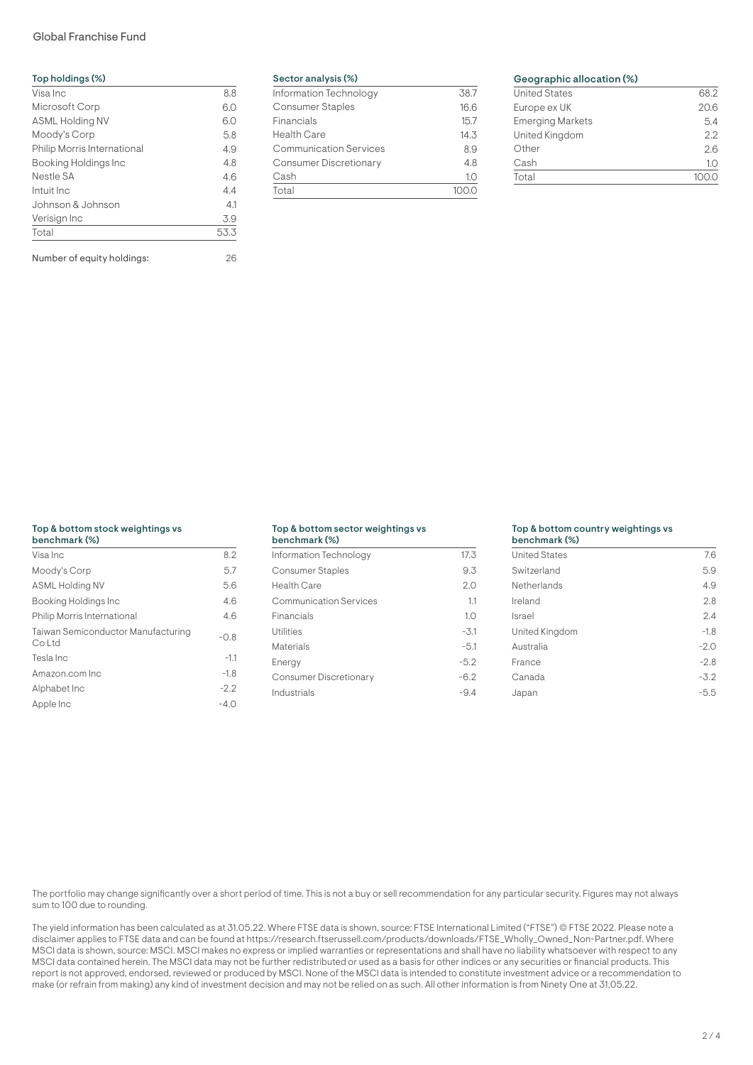# Global Franchise Fund

| Visa Inc                    | 8.8  |
|-----------------------------|------|
| Microsoft Corp              | 6.0  |
| <b>ASML Holding NV</b>      | 6.0  |
| Moody's Corp                | 5.8  |
| Philip Morris International | 4.9  |
| Booking Holdings Inc        | 4.8  |
| Nestle SA                   | 4.6  |
| Intuit Inc                  | 4.4  |
| Johnson & Johnson           | 4.1  |
| Verisign Inc                | 3.9  |
| Total                       | 53.3 |

Number of equity holdings: 26

| Sector analysis (%) |  |  |
|---------------------|--|--|
|                     |  |  |

| Information Technology        | 38.7 |
|-------------------------------|------|
| <b>Consumer Staples</b>       | 16.6 |
| Financials                    | 15.7 |
| <b>Health Care</b>            | 14.3 |
| <b>Communication Services</b> | 8.9  |
| <b>Consumer Discretionary</b> | 4.8  |
| Cash                          | 1.0  |
| Total                         |      |

# Geographic allocation (%)

| <b>United States</b>    | 68.2     |
|-------------------------|----------|
| Europe ex UK            | 20.6     |
| <b>Emerging Markets</b> | 5.4      |
| United Kingdom          | 2.2      |
| Other                   | 2.6      |
| Cash                    | $1 \cap$ |
| Total                   |          |
|                         |          |

# Top & bottom stock weightings vs

| benchmark (%)                                |        |
|----------------------------------------------|--------|
| Visa Inc                                     | 8.2    |
| Moody's Corp                                 | 5.7    |
| <b>ASML Holding NV</b>                       | 5.6    |
| Booking Holdings Inc                         | 4.6    |
| Philip Morris International                  | 4.6    |
| Taiwan Semiconductor Manufacturing<br>Co Ltd | $-0.8$ |
| Tesla Inc                                    | $-1.1$ |
| Amazon.com Inc                               | $-1.8$ |
| Alphabet Inc                                 | $-2.2$ |
| Apple Inc                                    | $-4.0$ |

#### Top & bottom sector weightings vs benchmark (%)

| <b>DUILLING NAVOL</b>         |        |
|-------------------------------|--------|
| Information Technology        | 17.3   |
| Consumer Staples              | 9.3    |
| Health Care                   | 2.0    |
| <b>Communication Services</b> | 1.1    |
| Financials                    | 1.0    |
| Utilities                     | $-3.1$ |
| Materials                     | $-5.1$ |
| Energy                        | $-5.2$ |
| Consumer Discretionary        | $-6.2$ |
| Industrials                   | -9.4   |
|                               |        |

### Top & bottom country weightings vs

| benchmark (%)        |        |
|----------------------|--------|
| <b>United States</b> | 7.6    |
| Switzerland          | 5.9    |
| Netherlands          | 4.9    |
| Ireland              | 2.8    |
| Israel               | 2.4    |
| United Kingdom       | $-1.8$ |
| Australia            | $-2.0$ |
| France               | $-2.8$ |
| Canada               | $-3.2$ |
| Japan                | -5.5   |

The portfolio may change significantly over a short period of time. This is not a buy or sell recommendation for any particular security. Figures may not always sum to 100 due to rounding.

The yield information has been calculated as at 31.05.22. Where FTSE data is shown, source: FTSE International Limited ("FTSE") © FTSE 2022. Please note a disclaimer applies to FTSE data and can be found at https://research.ftserussell.com/products/downloads/FTSE\_Wholly\_Owned\_Non-Partner.pdf. Where MSCI data is shown, source: MSCI. MSCI makes no express or implied warranties or representations and shall have no liability whatsoever with respect to any MSCI data contained herein. The MSCI data may not be further redistributed or used as a basis for other indices or any securities or financial products. This report is not approved, endorsed, reviewed or produced by MSCI. None of the MSCI data is intended to constitute investment advice or a recommendation to make (or refrain from making) any kind of investment decision and may not be relied on as such. All other information is from Ninety One at 31.05.22.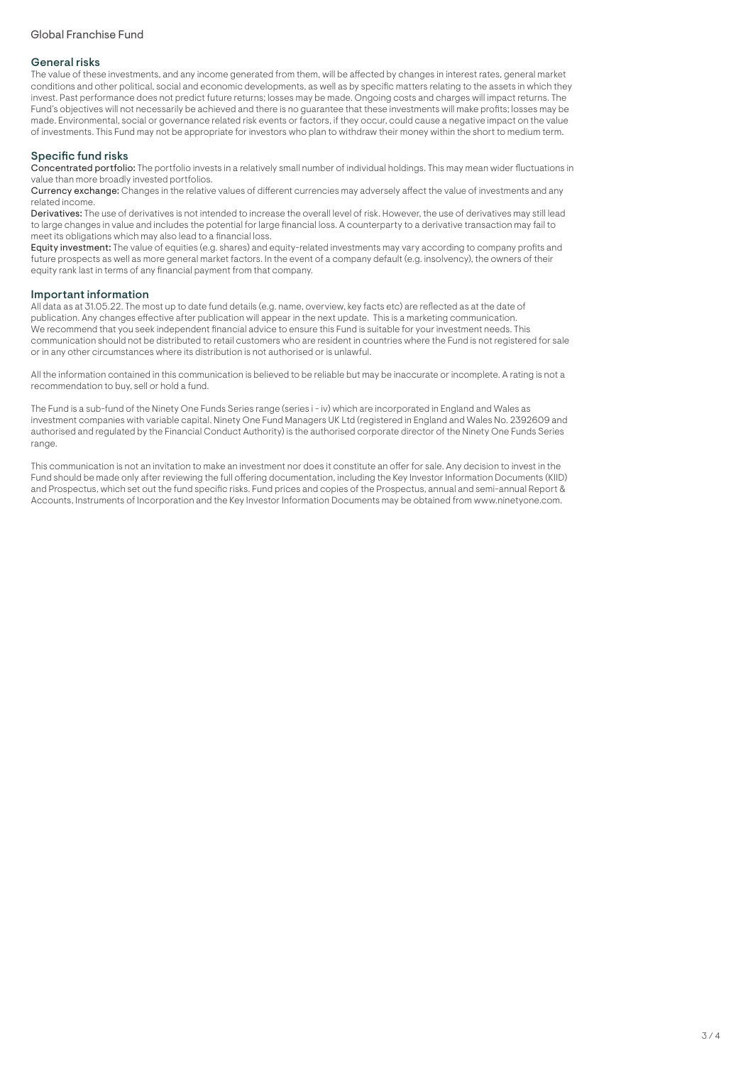### General risks

The value of these investments, and any income generated from them, will be affected by changes in interest rates, general market conditions and other political, social and economic developments, as well as by specific matters relating to the assets in which they invest. Past performance does not predict future returns; losses may be made. Ongoing costs and charges will impact returns. The Fund's objectives will not necessarily be achieved and there is no guarantee that these investments will make profits; losses may be made. Environmental, social or governance related risk events or factors, if they occur, could cause a negative impact on the value of investments. This Fund may not be appropriate for investors who plan to withdraw their money within the short to medium term.

## Specific fund risks

Concentrated portfolio: The portfolio invests in a relatively small number of individual holdings. This may mean wider fluctuations in value than more broadly invested portfolios.

Currency exchange: Changes in the relative values of different currencies may adversely affect the value of investments and any related income.

Derivatives: The use of derivatives is not intended to increase the overall level of risk. However, the use of derivatives may still lead to large changes in value and includes the potential for large financial loss. A counterparty to a derivative transaction may fail to meet its obligations which may also lead to a financial loss.

Equity investment: The value of equities (e.g. shares) and equity-related investments may vary according to company profits and future prospects as well as more general market factors. In the event of a company default (e.g. insolvency), the owners of their equity rank last in terms of any financial payment from that company.

### Important information

All data as at 31.05.22. The most up to date fund details (e.g. name, overview, key facts etc) are reflected as at the date of publication. Any changes effective after publication will appear in the next update. This is a marketing communication. We recommend that you seek independent financial advice to ensure this Fund is suitable for your investment needs. This communication should not be distributed to retail customers who are resident in countries where the Fund is not registered for sale or in any other circumstances where its distribution is not authorised or is unlawful.

All the information contained in this communication is believed to be reliable but may be inaccurate or incomplete. A rating is not a recommendation to buy, sell or hold a fund.

The Fund is a sub-fund of the Ninety One Funds Series range (series i - iv) which are incorporated in England and Wales as investment companies with variable capital. Ninety One Fund Managers UK Ltd (registered in England and Wales No. 2392609 and authorised and regulated by the Financial Conduct Authority) is the authorised corporate director of the Ninety One Funds Series range.

This communication is not an invitation to make an investment nor does it constitute an offer for sale. Any decision to invest in the Fund should be made only after reviewing the full offering documentation, including the Key Investor Information Documents (KIID) and Prospectus, which set out the fund specific risks. Fund prices and copies of the Prospectus, annual and semi-annual Report & Accounts, Instruments of Incorporation and the Key Investor Information Documents may be obtained from www.ninetyone.com.